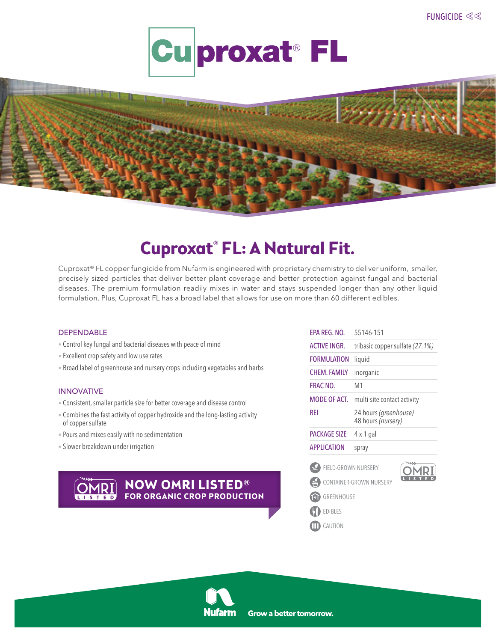



# **Cuproxat® FL: A Natural Fit.**

Cuproxat® FL copper fungicide from Nufarm is engineered with proprietary chemistry to deliver uniform, smaller, precisely sized particles that deliver better plant coverage and better protection against fungal and bacterial diseases. The premium formulation readily mixes in water and stays suspended longer than any other liquid formulation. Plus, Cuproxat FL has a broad label that allows for use on more than 60 different edibles.

## DEPENDABLE

- Control key fungal and bacterial diseases with peace of mind
- Excellent crop safety and low use rates
- Broad label of greenhouse and nursery crops including vegetables and herbs

#### INNOVATIVE

- Consistent, smaller particle size for better coverage and disease control
- Combines the fast activity of copper hydroxide and the long-lasting activity of copper sulfate
- Pours and mixes easily with no sedimentation
- Slower breakdown under irrigation



| EPA REG. NO.        | 55146-151                                   |  |
|---------------------|---------------------------------------------|--|
| <b>ACTIVE INGR.</b> | tribasic copper sulfate (27.1%)             |  |
| <b>FORMULATION</b>  | liquid                                      |  |
| <b>CHEM. FAMILY</b> | inorganic                                   |  |
| <b>FRAC NO.</b>     | M1                                          |  |
| MODE OF ACT.        | multi-site contact activity                 |  |
| REI                 | 24 hours (greenhouse)<br>48 hours (nursery) |  |
|                     |                                             |  |
| <b>PACKAGE SIZE</b> | 4 x 1 gal                                   |  |
| <b>APPLICATION</b>  | spray                                       |  |
| FIELD-GROWN NURSERY |                                             |  |
| F.                  | CONTAINER-GROWN NURSERY                     |  |
| GREENHOUSE          |                                             |  |
| <b>EDIBLES</b>      |                                             |  |
| CAUTION             |                                             |  |